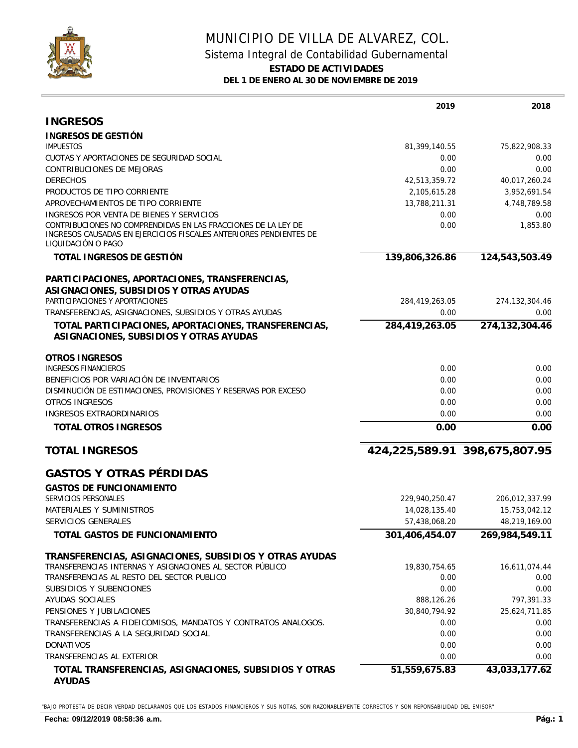

## MUNICIPIO DE VILLA DE ALVAREZ, COL. Sistema Integral de Contabilidad Gubernamental **ESTADO DE ACTIVIDADES DEL 1 DE ENERO AL 30 DE NOVIEMBRE DE 2019**

|                                                                                                                                                                                                      | 2019           | 2018                          |
|------------------------------------------------------------------------------------------------------------------------------------------------------------------------------------------------------|----------------|-------------------------------|
| <b>INGRESOS</b>                                                                                                                                                                                      |                |                               |
| INGRESOS DE GESTIÓN                                                                                                                                                                                  |                |                               |
| <b>IMPUESTOS</b>                                                                                                                                                                                     | 81,399,140.55  | 75,822,908.33                 |
| CUOTAS Y APORTACIONES DE SEGURIDAD SOCIAL                                                                                                                                                            | 0.00           | 0.00                          |
| <b>CONTRIBUCIONES DE MEJORAS</b>                                                                                                                                                                     | 0.00           | 0.00                          |
| <b>DERECHOS</b>                                                                                                                                                                                      | 42,513,359.72  | 40,017,260.24                 |
| PRODUCTOS DE TIPO CORRIENTE                                                                                                                                                                          | 2,105,615.28   | 3,952,691.54                  |
| APROVECHAMIENTOS DE TIPO CORRIENTE                                                                                                                                                                   | 13,788,211.31  | 4,748,789.58                  |
| INGRESOS POR VENTA DE BIENES Y SERVICIOS<br>CONTRIBUCIONES NO COMPRENDIDAS EN LAS FRACCIONES DE LA LEY DE<br>INGRESOS CAUSADAS EN EJERCICIOS FISCALES ANTERIORES PENDIENTES DE<br>LIQUIDACIÓN O PAGO | 0.00<br>0.00   | 0.00<br>1,853.80              |
| TOTAL INGRESOS DE GESTIÓN                                                                                                                                                                            | 139,806,326.86 | 124,543,503.49                |
| PARTICIPACIONES, APORTACIONES, TRANSFERENCIAS,<br>ASIGNACIONES, SUBSIDIOS Y OTRAS AYUDAS                                                                                                             |                |                               |
| PARTICIPACIONES Y APORTACIONES                                                                                                                                                                       | 284,419,263.05 | 274, 132, 304. 46             |
| TRANSFERENCIAS, ASIGNACIONES, SUBSIDIOS Y OTRAS AYUDAS                                                                                                                                               | 0.00           | 0.00                          |
| TOTAL PARTICIPACIONES, APORTACIONES, TRANSFERENCIAS,<br>ASIGNACIONES, SUBSIDIOS Y OTRAS AYUDAS                                                                                                       | 284,419,263.05 | 274,132,304.46                |
| <b>OTROS INGRESOS</b>                                                                                                                                                                                |                |                               |
| <b>INGRESOS FINANCIEROS</b>                                                                                                                                                                          | 0.00           | 0.00                          |
| BENEFICIOS POR VARIACIÓN DE INVENTARIOS                                                                                                                                                              | 0.00           | 0.00                          |
| DISMINUCIÓN DE ESTIMACIONES, PROVISIONES Y RESERVAS POR EXCESO                                                                                                                                       | 0.00           | 0.00                          |
| <b>OTROS INGRESOS</b>                                                                                                                                                                                | 0.00           | 0.00                          |
| INGRESOS EXTRAORDINARIOS                                                                                                                                                                             | 0.00           | 0.00                          |
| TOTAL OTROS INGRESOS                                                                                                                                                                                 | 0.00           | 0.00                          |
| <b>TOTAL INGRESOS</b>                                                                                                                                                                                |                | 424,225,589.91 398,675,807.95 |
| <b>GASTOS Y OTRAS PÉRDIDAS</b>                                                                                                                                                                       |                |                               |
| <b>GASTOS DE FUNCIONAMIENTO</b>                                                                                                                                                                      |                |                               |
| SERVICIOS PERSONALES                                                                                                                                                                                 | 229,940,250.47 | 206,012,337.99                |
| MATERIALES Y SUMINISTROS                                                                                                                                                                             | 14,028,135.40  | 15,753,042.12                 |
| SERVICIOS GENERALES                                                                                                                                                                                  | 57,438,068.20  | 48,219,169.00                 |
| TOTAL GASTOS DE FUNCIONAMIENTO                                                                                                                                                                       | 301,406,454.07 | 269,984,549.11                |
| TRANSFERENCIAS, ASIGNACIONES, SUBSIDIOS Y OTRAS AYUDAS                                                                                                                                               |                |                               |
| TRANSFERENCIAS INTERNAS Y ASIGNACIONES AL SECTOR PÚBLICO                                                                                                                                             | 19,830,754.65  | 16,611,074.44                 |
| TRANSFERENCIAS AL RESTO DEL SECTOR PUBLICO                                                                                                                                                           | 0.00           | 0.00                          |
| SUBSIDIOS Y SUBENCIONES                                                                                                                                                                              | 0.00           | 0.00                          |
| AYUDAS SOCIALES                                                                                                                                                                                      | 888,126.26     | 797,391.33                    |
| PENSIONES Y JUBILACIONES                                                                                                                                                                             | 30,840,794.92  | 25,624,711.85                 |
| TRANSFERENCIAS A FIDEICOMISOS, MANDATOS Y CONTRATOS ANALOGOS.                                                                                                                                        | 0.00           | 0.00                          |
| TRANSFERENCIAS A LA SEGURIDAD SOCIAL                                                                                                                                                                 | 0.00           | 0.00                          |
| <b>DONATIVOS</b>                                                                                                                                                                                     | 0.00           | 0.00                          |
| TRANSFERENCIAS AL EXTERIOR                                                                                                                                                                           | 0.00           | 0.00                          |
| TOTAL TRANSFERENCIAS, ASIGNACIONES, SUBSIDIOS Y OTRAS<br><b>AYUDAS</b>                                                                                                                               | 51,559,675.83  | 43,033,177.62                 |

"BAJO PROTESTA DE DECIR VERDAD DECLARAMOS QUE LOS ESTADOS FINANCIEROS Y SUS NOTAS, SON RAZONABLEMENTE CORRECTOS Y SON REPONSABILIDAD DEL EMISOR"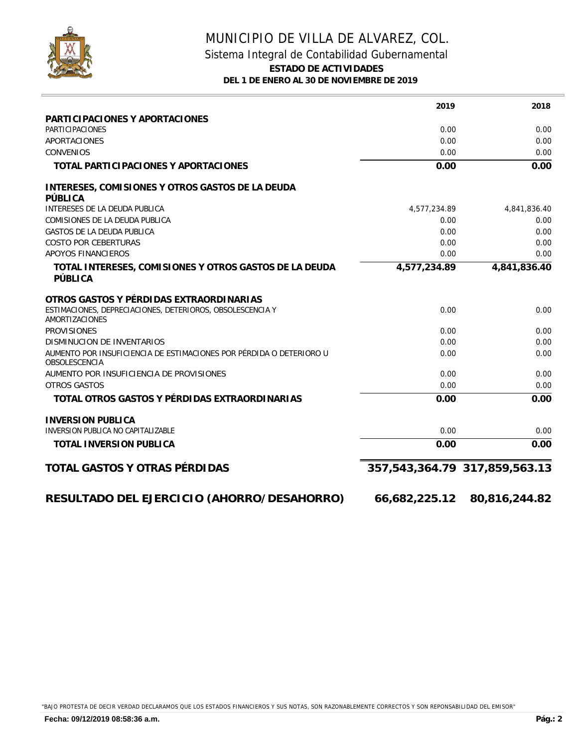

## MUNICIPIO DE VILLA DE ALVAREZ, COL. Sistema Integral de Contabilidad Gubernamental **ESTADO DE ACTIVIDADES DEL 1 DE ENERO AL 30 DE NOVIEMBRE DE 2019**

|                                                                                             | 2019         | 2018                                |
|---------------------------------------------------------------------------------------------|--------------|-------------------------------------|
| PARTICIPACIONES Y APORTACIONES                                                              |              |                                     |
| <b>PARTICIPACIONES</b>                                                                      | 0.00         | 0.00                                |
| <b>APORTACIONES</b>                                                                         | 0.00         | 0.00                                |
| <b>CONVENIOS</b>                                                                            | 0.00         | 0.00                                |
| TOTAL PARTICIPACIONES Y APORTACIONES                                                        | 0.00         | 0.00                                |
| INTERESES, COMISIONES Y OTROS GASTOS DE LA DEUDA<br>PÚBLICA                                 |              |                                     |
| INTERESES DE LA DEUDA PUBLICA                                                               | 4,577,234.89 | 4,841,836.40                        |
| COMISIONES DE LA DEUDA PUBLICA                                                              | 0.00         | 0.00                                |
| <b>GASTOS DE LA DEUDA PUBLICA</b>                                                           | 0.00         | 0.00                                |
| <b>COSTO POR CEBERTURAS</b>                                                                 | 0.00         | 0.00                                |
| APOYOS FINANCIEROS                                                                          | 0.00         | 0.00                                |
| TOTAL INTERESES, COMISIONES Y OTROS GASTOS DE LA DEUDA<br>PÚBLICA                           | 4,577,234.89 | 4,841,836.40                        |
| OTROS GASTOS Y PÉRDIDAS EXTRAORDINARIAS                                                     |              |                                     |
| ESTIMACIONES, DEPRECIACIONES, DETERIOROS, OBSOLESCENCIA Y<br><b>AMORTIZACIONES</b>          | 0.00         | 0.00                                |
| <b>PROVISIONES</b>                                                                          | 0.00         | 0.00                                |
| <b>DISMINUCION DE INVENTARIOS</b>                                                           | 0.00         | 0.00                                |
| AUMENTO POR INSUFICIENCIA DE ESTIMACIONES POR PÉRDIDA O DETERIORO U<br><b>OBSOLESCENCIA</b> | 0.00         | 0.00                                |
| AUMENTO POR INSUFICIENCIA DE PROVISIONES                                                    | 0.00         | 0.00                                |
| <b>OTROS GASTOS</b>                                                                         | 0.00         | 0.00                                |
| TOTAL OTROS GASTOS Y PÉRDIDAS EXTRAORDINARIAS                                               | 0.00         | 0.00                                |
| <b>INVERSION PUBLICA</b>                                                                    |              |                                     |
| INVERSION PUBLICA NO CAPITALIZABLE                                                          | 0.00         | 0.00                                |
| TOTAL INVERSION PUBLICA                                                                     | 0.00         | 0.00                                |
| TOTAL GASTOS Y OTRAS PÉRDIDAS                                                               |              | 357, 543, 364. 79 317, 859, 563. 13 |
| RESULTADO DEL EJERCICIO (AHORRO/DESAHORRO)                                                  |              | 66,682,225.12 80,816,244.82         |